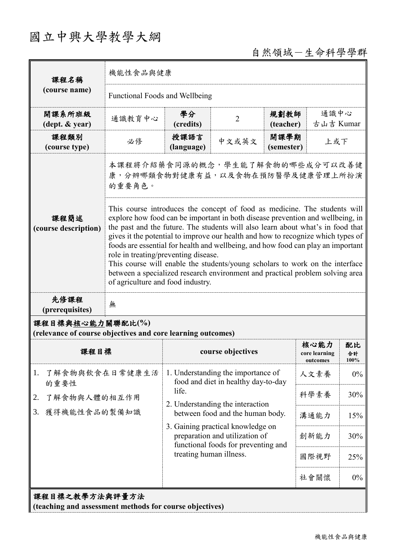# 國立中興大學教學大綱

## 自然領域-生命科學學群

| 課程名稱                                                                                                                                                                                                                                                                                                                                                                                                                                                                                                                                                                                                                                                                                                 | 機能性食品與健康                                                                      |                                                                                                                                       |                |                    |                                   |                  |  |
|------------------------------------------------------------------------------------------------------------------------------------------------------------------------------------------------------------------------------------------------------------------------------------------------------------------------------------------------------------------------------------------------------------------------------------------------------------------------------------------------------------------------------------------------------------------------------------------------------------------------------------------------------------------------------------------------------|-------------------------------------------------------------------------------|---------------------------------------------------------------------------------------------------------------------------------------|----------------|--------------------|-----------------------------------|------------------|--|
| (course name)                                                                                                                                                                                                                                                                                                                                                                                                                                                                                                                                                                                                                                                                                        | Functional Foods and Wellbeing                                                |                                                                                                                                       |                |                    |                                   |                  |  |
| 開課系所班級<br>(dept. & year)                                                                                                                                                                                                                                                                                                                                                                                                                                                                                                                                                                                                                                                                             | 通識教育中心                                                                        | 學分<br>(credits)                                                                                                                       | $\overline{2}$ | 規劃教師<br>(teacher)  | 通識中心<br>古山吉 Kumar                 |                  |  |
| 課程類別<br>(course type)                                                                                                                                                                                                                                                                                                                                                                                                                                                                                                                                                                                                                                                                                | 必修                                                                            | 授課語言<br>(language)                                                                                                                    | 中文或英文          | 開課學期<br>(semester) | 上或下                               |                  |  |
|                                                                                                                                                                                                                                                                                                                                                                                                                                                                                                                                                                                                                                                                                                      | 本課程將介紹藥食同源的概念,學生能了解食物的哪些成分可以改善健<br>康,分辨哪類食物對健康有益,以及食物在預防醫學及健康管理上所扮演<br>的重要角色。 |                                                                                                                                       |                |                    |                                   |                  |  |
| This course introduces the concept of food as medicine. The students will<br>explore how food can be important in both disease prevention and wellbeing, in<br>課程簡述<br>the past and the future. The students will also learn about what's in food that<br>(course description)<br>gives it the potential to improve our health and how to recognize which types of<br>foods are essential for health and wellbeing, and how food can play an important<br>role in treating/preventing disease.<br>This course will enable the students/young scholars to work on the interface<br>between a specialized research environment and practical problem solving area<br>of agriculture and food industry. |                                                                               |                                                                                                                                       |                |                    |                                   |                  |  |
| 先修課程<br>(prerequisites)                                                                                                                                                                                                                                                                                                                                                                                                                                                                                                                                                                                                                                                                              | 無                                                                             |                                                                                                                                       |                |                    |                                   |                  |  |
| 課程目標與核心能力關聯配比(%)<br>(relevance of course objectives and core learning outcomes)                                                                                                                                                                                                                                                                                                                                                                                                                                                                                                                                                                                                                      |                                                                               |                                                                                                                                       |                |                    |                                   |                  |  |
| 課程目標                                                                                                                                                                                                                                                                                                                                                                                                                                                                                                                                                                                                                                                                                                 |                                                                               | course objectives                                                                                                                     |                |                    | 核心能力<br>core learning<br>outcomes | 配比<br>合計<br>100% |  |
| 1.<br>了解食物與飲食在日常健康生活<br>的重要性<br>2.<br>了解食物與人體的相互作用<br>獲得機能性食品的製備知識<br>3.                                                                                                                                                                                                                                                                                                                                                                                                                                                                                                                                                                                                                             |                                                                               | 1. Understanding the importance of<br>food and diet in healthy day-to-day<br>life.<br>2. Understanding the interaction                |                |                    | 人文素養                              | $0\%$            |  |
|                                                                                                                                                                                                                                                                                                                                                                                                                                                                                                                                                                                                                                                                                                      |                                                                               |                                                                                                                                       |                |                    | 科學素養                              | 30%              |  |
|                                                                                                                                                                                                                                                                                                                                                                                                                                                                                                                                                                                                                                                                                                      |                                                                               | between food and the human body.                                                                                                      |                |                    | 溝通能力                              | 15%              |  |
|                                                                                                                                                                                                                                                                                                                                                                                                                                                                                                                                                                                                                                                                                                      |                                                                               | 3. Gaining practical knowledge on<br>preparation and utilization of<br>functional foods for preventing and<br>treating human illness. |                |                    | 創新能力                              | 30%              |  |
|                                                                                                                                                                                                                                                                                                                                                                                                                                                                                                                                                                                                                                                                                                      |                                                                               |                                                                                                                                       |                |                    | 國際視野                              | 25%              |  |
|                                                                                                                                                                                                                                                                                                                                                                                                                                                                                                                                                                                                                                                                                                      |                                                                               |                                                                                                                                       |                |                    | 社會關懷                              | $0\%$            |  |
| 課程目標之教學方法與評量方法<br>(teaching and assessment methods for course objectives)                                                                                                                                                                                                                                                                                                                                                                                                                                                                                                                                                                                                                            |                                                                               |                                                                                                                                       |                |                    |                                   |                  |  |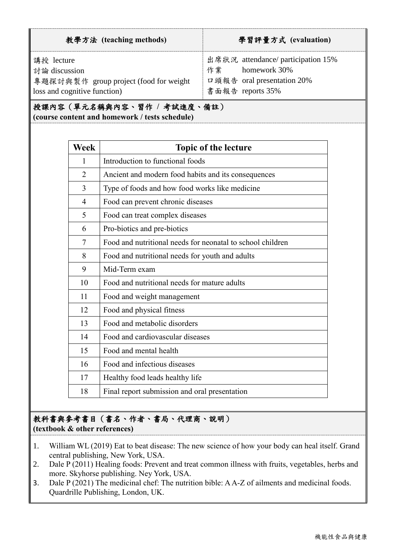| 教學方法 (teaching methods)                                                                               | 學習評量方式 (evaluation)                                                                                        |  |  |
|-------------------------------------------------------------------------------------------------------|------------------------------------------------------------------------------------------------------------|--|--|
| 講授 lecture<br>討論 discussion<br>專題探討與製作 group project (food for weight<br>loss and cognitive function) | 出席狀況 attendance/ participation 15%<br>homework 30%<br>作業<br>口頭報告 oral presentation 20%<br>書面報告 reports 35% |  |  |

授課內容(單元名稱與內容、習作 **/** 考試進度、備註)

**(course content and homework / tests schedule)**

| Week           | <b>Topic of the lecture</b>                                |
|----------------|------------------------------------------------------------|
| $\mathbf{1}$   | Introduction to functional foods                           |
| $\overline{2}$ | Ancient and modern food habits and its consequences        |
| 3              | Type of foods and how food works like medicine             |
| 4              | Food can prevent chronic diseases                          |
| 5              | Food can treat complex diseases                            |
| 6              | Pro-biotics and pre-biotics                                |
| $\tau$         | Food and nutritional needs for neonatal to school children |
| 8              | Food and nutritional needs for youth and adults            |
| 9              | Mid-Term exam                                              |
| 10             | Food and nutritional needs for mature adults               |
| 11             | Food and weight management                                 |
| 12             | Food and physical fitness                                  |
| 13             | Food and metabolic disorders                               |
| 14             | Food and cardiovascular diseases                           |
| 15             | Food and mental health                                     |
| 16             | Food and infectious diseases                               |
| 17             | Healthy food leads healthy life                            |
| 18             | Final report submission and oral presentation              |

### 教科書與參考書目(書名、作者、書局、代理商、說明) **(textbook & other references)**

- 1. William WL (2019) Eat to beat disease: The new science of how your body can heal itself. Grand central publishing, New York, USA.
- 2. Dale P (2011) Healing foods: Prevent and treat common illness with fruits, vegetables, herbs and more. Skyhorse publishing. Ney York, USA.
- 3. Dale P (2021) The medicinal chef: The nutrition bible: A A-Z of ailments and medicinal foods. Quardrille Publishing, London, UK.